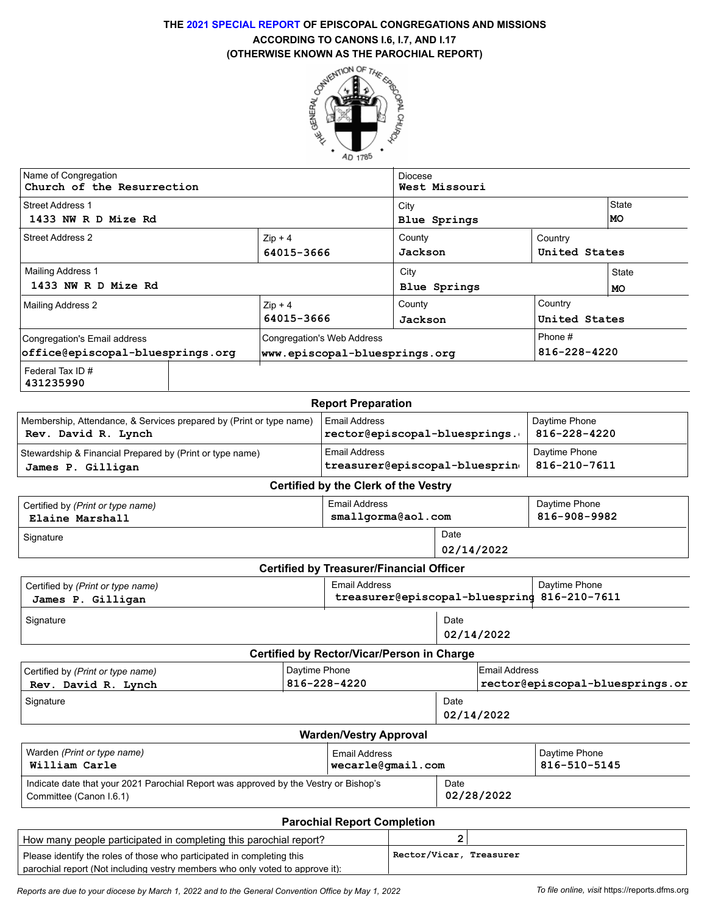## **THE 2021 SPECIAL REPORT OF EPISCOPAL CONGREGATIONS AND MISSIONS ACCORDING TO CANONS I.6, I.7, AND I.17**



| Name of Congregation<br>Church of the Resurrection               | Diocese<br>West Missouri                                           |                                               |                          |                    |  |
|------------------------------------------------------------------|--------------------------------------------------------------------|-----------------------------------------------|--------------------------|--------------------|--|
| <b>Street Address 1</b><br>1433 NW R D Mize Rd                   |                                                                    | City<br>Blue Springs                          |                          |                    |  |
| Street Address 2                                                 | $Zip + 4$<br>64015-3666                                            | County<br>Country<br>Jackson<br>United States |                          |                    |  |
| <b>Mailing Address 1</b><br>1433 NW R D Mize Rd                  |                                                                    | City<br>Blue Springs                          |                          | State<br><b>MO</b> |  |
| Mailing Address 2                                                | $Zip + 4$<br>64015-3666                                            | County<br>Jackson                             | Country<br>United States |                    |  |
| Congregation's Email address<br>office@episcopal-bluesprings.org | <b>Congregation's Web Address</b><br>www.episcopal-bluesprings.org |                                               | Phone #<br>816-228-4220  |                    |  |
| Federal Tax ID $#$<br>431235990                                  |                                                                    |                                               |                          |                    |  |

| <b>Report Preparation</b>                                           |                               |               |  |  |
|---------------------------------------------------------------------|-------------------------------|---------------|--|--|
| Membership, Attendance, & Services prepared by (Print or type name) | Email Address                 | Daytime Phone |  |  |
| Rev. David R. Lynch                                                 | rector@episcopal-bluesprings. | 816-228-4220  |  |  |
| Stewardship & Financial Prepared by (Print or type name)            | Email Address                 | Daytime Phone |  |  |
| James P. Gilligan                                                   | treasurer@episcopal-bluesprin | 816-210-7611  |  |  |

## **Certified by the Clerk of the Vestry**

| Certified by (Print or type name)               | Email Address      |            | Daytime Phone |
|-------------------------------------------------|--------------------|------------|---------------|
| Elaine Marshall                                 | smallgorma@aol.com |            | 816-908-9982  |
| Signature                                       |                    | Date       |               |
|                                                 |                    | 02/14/2022 |               |
| <b>Certified by Treasurer/Financial Officer</b> |                    |            |               |

| Certified by (Print or type name)<br>James P. Gilligan   |               | Email Address                              |      |                      | Daytime Phone<br>treasurer@episcopal-bluespring 816-210-7611 |
|----------------------------------------------------------|---------------|--------------------------------------------|------|----------------------|--------------------------------------------------------------|
| Signature                                                |               |                                            | Date | 02/14/2022           |                                                              |
|                                                          |               | Certified by Rector/Vicar/Person in Charge |      |                      |                                                              |
| Certified by (Print or type name)<br>Rev. David R. Lynch | Daytime Phone | 816-228-4220                               |      | <b>Email Address</b> | rector@episcopal-bluesprings.or                              |
| Signature                                                |               |                                            | Date |                      |                                                              |

| <b>Warden/Vestry Approval</b>                                                                                   |                                   |                    |                                     |  |
|-----------------------------------------------------------------------------------------------------------------|-----------------------------------|--------------------|-------------------------------------|--|
| Warden (Print or type name)<br>William Carle                                                                    | Email Address<br>wecarle@math.com |                    | Daytime Phone<br>$816 - 510 - 5145$ |  |
| Indicate date that your 2021 Parochial Report was approved by the Vestry or Bishop's<br>Committee (Canon I.6.1) |                                   | Date<br>02/28/2022 |                                     |  |

**02/14/2022**

| <b>Parochial Report Completion</b>                                            |                          |  |
|-------------------------------------------------------------------------------|--------------------------|--|
| How many people participated in completing this parochial report?             |                          |  |
| Please identify the roles of those who participated in completing this        | Rector/Vicar, Treasurer, |  |
| parochial report (Not including vestry members who only voted to approve it): |                          |  |
|                                                                               |                          |  |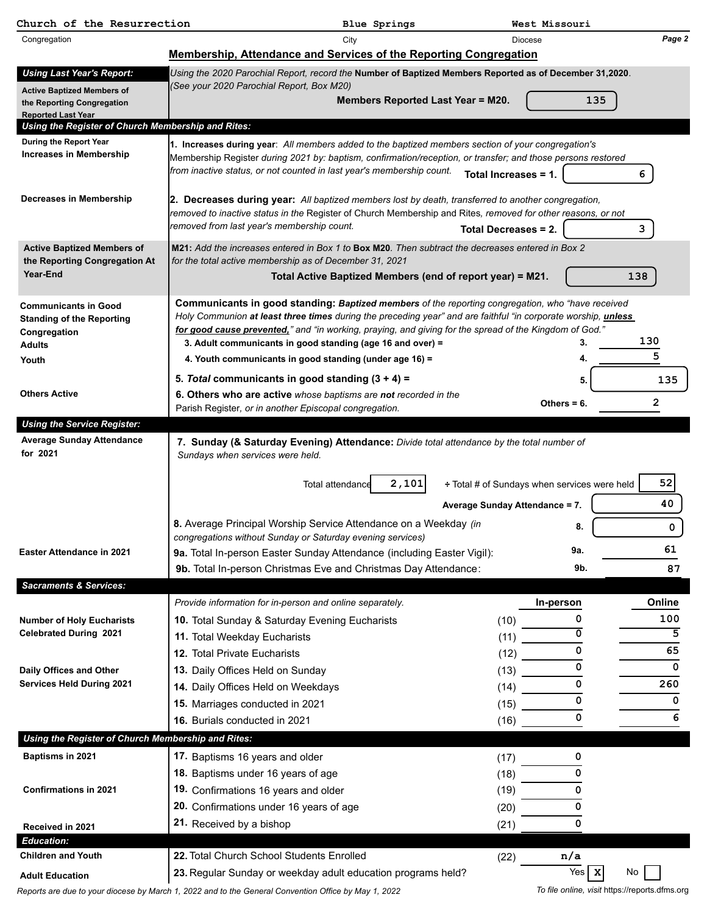| Church of the Resurrection                                  |                                                                                                                                                                                       | <b>Blue Springs</b>                                       | West Missouri                                |                    |
|-------------------------------------------------------------|---------------------------------------------------------------------------------------------------------------------------------------------------------------------------------------|-----------------------------------------------------------|----------------------------------------------|--------------------|
| Congregation                                                | City                                                                                                                                                                                  |                                                           | <b>Diocese</b>                               | Page 2             |
|                                                             | <b>Membership, Attendance and Services of the Reporting Congregation</b>                                                                                                              |                                                           |                                              |                    |
| <b>Using Last Year's Report:</b>                            | Using the 2020 Parochial Report, record the Number of Baptized Members Reported as of December 31,2020.                                                                               |                                                           |                                              |                    |
| <b>Active Baptized Members of</b>                           | (See your 2020 Parochial Report, Box M20)                                                                                                                                             | Members Reported Last Year = M20.                         |                                              | 135                |
| the Reporting Congregation<br><b>Reported Last Year</b>     |                                                                                                                                                                                       |                                                           |                                              |                    |
| Using the Register of Church Membership and Rites:          |                                                                                                                                                                                       |                                                           |                                              |                    |
| During the Report Year<br><b>Increases in Membership</b>    | 1. Increases during year: All members added to the baptized members section of your congregation's                                                                                    |                                                           |                                              |                    |
|                                                             | Membership Register during 2021 by: baptism, confirmation/reception, or transfer; and those persons restored<br>from inactive status, or not counted in last year's membership count. |                                                           |                                              |                    |
|                                                             |                                                                                                                                                                                       |                                                           | Total Increases = 1.                         | 6                  |
| Decreases in Membership                                     | 2. Decreases during year: All baptized members lost by death, transferred to another congregation,                                                                                    |                                                           |                                              |                    |
|                                                             | removed to inactive status in the Register of Church Membership and Rites, removed for other reasons, or not                                                                          |                                                           |                                              |                    |
|                                                             | removed from last year's membership count.                                                                                                                                            |                                                           | <b>Total Decreases = 2.</b>                  | 3                  |
| <b>Active Baptized Members of</b>                           | M21: Add the increases entered in Box 1 to Box M20. Then subtract the decreases entered in Box 2                                                                                      |                                                           |                                              |                    |
| the Reporting Congregation At<br>Year-End                   | for the total active membership as of December 31, 2021                                                                                                                               | Total Active Baptized Members (end of report year) = M21. |                                              | 138                |
|                                                             |                                                                                                                                                                                       |                                                           |                                              |                    |
| <b>Communicants in Good</b>                                 | Communicants in good standing: Baptized members of the reporting congregation, who "have received                                                                                     |                                                           |                                              |                    |
| <b>Standing of the Reporting</b>                            | Holy Communion at least three times during the preceding year" and are faithful "in corporate worship, <i>unless</i>                                                                  |                                                           |                                              |                    |
| Congregation<br><b>Adults</b>                               | for good cause prevented," and "in working, praying, and giving for the spread of the Kingdom of God."<br>3. Adult communicants in good standing (age 16 and over) =                  |                                                           | 3.                                           | 130                |
| Youth                                                       | 4. Youth communicants in good standing (under age 16) =                                                                                                                               |                                                           |                                              | 5                  |
|                                                             | 5. Total communicants in good standing $(3 + 4) =$                                                                                                                                    |                                                           | 5.                                           | 135                |
| <b>Others Active</b>                                        | 6. Others who are active whose baptisms are not recorded in the                                                                                                                       |                                                           |                                              |                    |
|                                                             | Parish Register, or in another Episcopal congregation.                                                                                                                                |                                                           | Others = $6.$                                | 2                  |
| <b>Using the Service Register:</b>                          |                                                                                                                                                                                       |                                                           |                                              |                    |
| <b>Average Sunday Attendance</b><br>for 2021                | 7. Sunday (& Saturday Evening) Attendance: Divide total attendance by the total number of                                                                                             |                                                           |                                              |                    |
|                                                             | Sundays when services were held.                                                                                                                                                      |                                                           |                                              |                    |
|                                                             | Total attendance                                                                                                                                                                      | 2,101                                                     | + Total # of Sundays when services were held | 52                 |
|                                                             |                                                                                                                                                                                       |                                                           | Average Sunday Attendance = 7.               | 40                 |
|                                                             | 8. Average Principal Worship Service Attendance on a Weekday (in                                                                                                                      |                                                           | 8.                                           |                    |
|                                                             | congregations without Sunday or Saturday evening services)                                                                                                                            |                                                           |                                              | 0                  |
| <b>Easter Attendance in 2021</b>                            | 9a. Total In-person Easter Sunday Attendance (including Easter Vigil):                                                                                                                |                                                           | 9a.                                          | 61                 |
|                                                             | 9b. Total In-person Christmas Eve and Christmas Day Attendance:                                                                                                                       |                                                           | 9b.                                          | 87                 |
| <b>Sacraments &amp; Services:</b>                           |                                                                                                                                                                                       |                                                           |                                              |                    |
|                                                             | Provide information for in-person and online separately.                                                                                                                              |                                                           | In-person                                    | Online             |
| <b>Number of Holy Eucharists</b>                            | 10. Total Sunday & Saturday Evening Eucharists                                                                                                                                        |                                                           | 0<br>(10)                                    | 100                |
| <b>Celebrated During 2021</b>                               | 11. Total Weekday Eucharists                                                                                                                                                          |                                                           | $\Omega$<br>$(11)$ $_{-}$                    | 5                  |
|                                                             | 12. Total Private Eucharists                                                                                                                                                          |                                                           | 0<br>(12)<br>$\mathbf 0$                     | 65<br>0            |
| Daily Offices and Other<br><b>Services Held During 2021</b> | 13. Daily Offices Held on Sunday                                                                                                                                                      |                                                           | (13)<br>0                                    | 260                |
|                                                             | 14. Daily Offices Held on Weekdays                                                                                                                                                    |                                                           | (14)<br>$\Omega$                             | 0                  |
|                                                             | 15. Marriages conducted in 2021<br>16. Burials conducted in 2021                                                                                                                      |                                                           | (15)<br>$\Omega$                             | 6                  |
| Using the Register of Church Membership and Rites:          |                                                                                                                                                                                       |                                                           | (16)                                         |                    |
| Baptisms in 2021                                            | 17. Baptisms 16 years and older                                                                                                                                                       |                                                           | 0                                            |                    |
|                                                             | 18. Baptisms under 16 years of age                                                                                                                                                    |                                                           | (17)<br>0<br>(18)                            |                    |
| <b>Confirmations in 2021</b>                                | 19. Confirmations 16 years and older                                                                                                                                                  |                                                           | (19)<br>0                                    |                    |
|                                                             | 20. Confirmations under 16 years of age                                                                                                                                               |                                                           | 0<br>(20)                                    |                    |
| Received in 2021                                            | 21. Received by a bishop                                                                                                                                                              |                                                           | 0<br>(21)                                    |                    |
| <b>Education:</b>                                           |                                                                                                                                                                                       |                                                           |                                              |                    |
| <b>Children and Youth</b>                                   | 22. Total Church School Students Enrolled                                                                                                                                             |                                                           | (22)<br>n/a                                  |                    |
| <b>Adult Education</b>                                      | 23. Regular Sunday or weekday adult education programs held?                                                                                                                          |                                                           | <b>Yes</b>                                   | $\mathbf{x}$<br>No |
|                                                             |                                                                                                                                                                                       |                                                           |                                              |                    |

*Reports are due to your diocese by March 1, 2022 and to the General Convention Office by May 1, 2022 To file online, visit* https://reports.dfms.org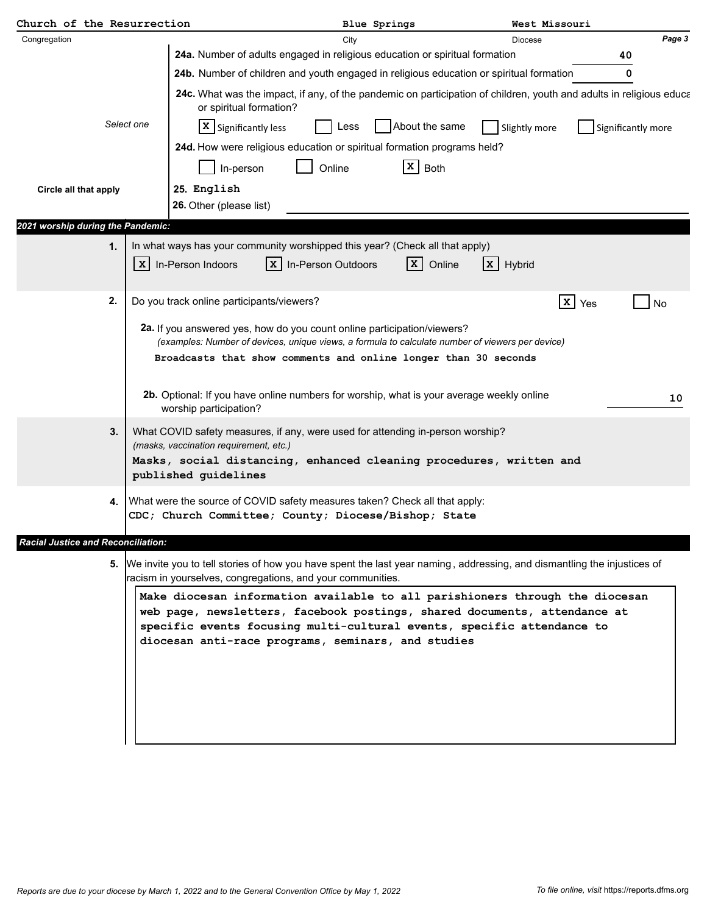| Church of the Resurrection                |              |                                                                                                                                                                                          | Blue Springs       |                             | West Missouri             |                        |                    |
|-------------------------------------------|--------------|------------------------------------------------------------------------------------------------------------------------------------------------------------------------------------------|--------------------|-----------------------------|---------------------------|------------------------|--------------------|
| Congregation                              |              |                                                                                                                                                                                          | City               |                             | <b>Diocese</b>            |                        | Page 3             |
|                                           |              | 24a. Number of adults engaged in religious education or spiritual formation                                                                                                              |                    |                             |                           |                        | 40                 |
|                                           |              | 24b. Number of children and youth engaged in religious education or spiritual formation                                                                                                  |                    |                             |                           |                        | 0                  |
|                                           |              | 24c. What was the impact, if any, of the pandemic on participation of children, youth and adults in religious educa<br>or spiritual formation?                                           |                    |                             |                           |                        |                    |
|                                           | Select one   | $X$ Significantly less                                                                                                                                                                   | Less               | About the same              | Slightly more             |                        | Significantly more |
|                                           |              | 24d. How were religious education or spiritual formation programs held?                                                                                                                  |                    |                             |                           |                        |                    |
|                                           |              | In-person                                                                                                                                                                                | Online             | $\mathbf{x}$<br><b>Both</b> |                           |                        |                    |
| Circle all that apply                     |              | 25. English                                                                                                                                                                              |                    |                             |                           |                        |                    |
|                                           |              | 26. Other (please list)                                                                                                                                                                  |                    |                             |                           |                        |                    |
| 2021 worship during the Pandemic:         |              |                                                                                                                                                                                          |                    |                             |                           |                        |                    |
| 1.                                        |              | In what ways has your community worshipped this year? (Check all that apply)                                                                                                             |                    |                             |                           |                        |                    |
|                                           | $\mathbf{x}$ | In-Person Indoors<br>$\mathbf{x}$                                                                                                                                                        | In-Person Outdoors | x  <br>Online               | $\vert x \vert$<br>Hybrid |                        |                    |
| 2.                                        |              | Do you track online participants/viewers?                                                                                                                                                |                    |                             |                           | $\vert x \vert$<br>Yes | No                 |
|                                           |              | 2a. If you answered yes, how do you count online participation/viewers?                                                                                                                  |                    |                             |                           |                        |                    |
|                                           |              | (examples: Number of devices, unique views, a formula to calculate number of viewers per device)<br>Broadcasts that show comments and online longer than 30 seconds                      |                    |                             |                           |                        |                    |
|                                           |              |                                                                                                                                                                                          |                    |                             |                           |                        |                    |
|                                           |              | 2b. Optional: If you have online numbers for worship, what is your average weekly online                                                                                                 |                    |                             |                           |                        | 10                 |
|                                           |              | worship participation?                                                                                                                                                                   |                    |                             |                           |                        |                    |
| 3.                                        |              | What COVID safety measures, if any, were used for attending in-person worship?                                                                                                           |                    |                             |                           |                        |                    |
|                                           |              | (masks, vaccination requirement, etc.)                                                                                                                                                   |                    |                             |                           |                        |                    |
|                                           |              | Masks, social distancing, enhanced cleaning procedures, written and<br>published guidelines                                                                                              |                    |                             |                           |                        |                    |
|                                           |              |                                                                                                                                                                                          |                    |                             |                           |                        |                    |
| 4.                                        |              | What were the source of COVID safety measures taken? Check all that apply:<br>CDC; Church Committee; County; Diocese/Bishop; State                                                       |                    |                             |                           |                        |                    |
|                                           |              |                                                                                                                                                                                          |                    |                             |                           |                        |                    |
| <b>Racial Justice and Reconciliation:</b> |              |                                                                                                                                                                                          |                    |                             |                           |                        |                    |
|                                           |              | 5. We invite you to tell stories of how you have spent the last year naming, addressing, and dismantling the injustices of<br>racism in yourselves, congregations, and your communities. |                    |                             |                           |                        |                    |
|                                           |              | Make diocesan information available to all parishioners through the diocesan                                                                                                             |                    |                             |                           |                        |                    |
|                                           |              | web page, newsletters, facebook postings, shared documents, attendance at<br>specific events focusing multi-cultural events, specific attendance to                                      |                    |                             |                           |                        |                    |
|                                           |              | diocesan anti-race programs, seminars, and studies                                                                                                                                       |                    |                             |                           |                        |                    |
|                                           |              |                                                                                                                                                                                          |                    |                             |                           |                        |                    |
|                                           |              |                                                                                                                                                                                          |                    |                             |                           |                        |                    |
|                                           |              |                                                                                                                                                                                          |                    |                             |                           |                        |                    |
|                                           |              |                                                                                                                                                                                          |                    |                             |                           |                        |                    |
|                                           |              |                                                                                                                                                                                          |                    |                             |                           |                        |                    |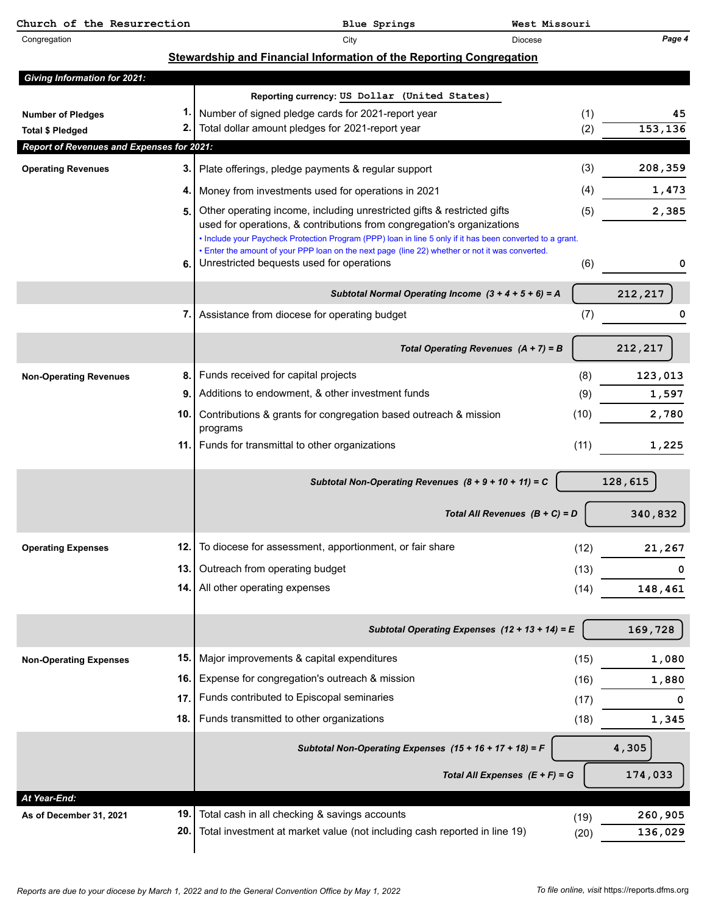| Church of the Resurrection                                           |                 | <b>Blue Springs</b>                                                                                                                               | West Missouri                    |          |
|----------------------------------------------------------------------|-----------------|---------------------------------------------------------------------------------------------------------------------------------------------------|----------------------------------|----------|
| Congregation                                                         |                 | City                                                                                                                                              | <b>Diocese</b>                   | Page 4   |
|                                                                      |                 | Stewardship and Financial Information of the Reporting Congregation                                                                               |                                  |          |
| <b>Giving Information for 2021:</b>                                  |                 |                                                                                                                                                   |                                  |          |
|                                                                      |                 | Reporting currency: US Dollar (United States)                                                                                                     |                                  |          |
| <b>Number of Pledges</b>                                             | 1.              | Number of signed pledge cards for 2021-report year                                                                                                | (1)                              | 45       |
| <b>Total \$ Pledged</b><br>Report of Revenues and Expenses for 2021: | 2.1             | Total dollar amount pledges for 2021-report year                                                                                                  | (2)                              | 153, 136 |
|                                                                      |                 |                                                                                                                                                   |                                  |          |
| <b>Operating Revenues</b>                                            | 3.              | Plate offerings, pledge payments & regular support                                                                                                | (3)                              | 208,359  |
|                                                                      | 4. I            | Money from investments used for operations in 2021                                                                                                | (4)                              | 1,473    |
|                                                                      | 5. I            | Other operating income, including unrestricted gifts & restricted gifts<br>used for operations, & contributions from congregation's organizations | (5)                              | 2,385    |
|                                                                      |                 | . Include your Paycheck Protection Program (PPP) loan in line 5 only if it has been converted to a grant.                                         |                                  |          |
|                                                                      |                 | • Enter the amount of your PPP loan on the next page (line 22) whether or not it was converted.<br>Unrestricted bequests used for operations      | (6)                              | 0        |
|                                                                      | 6.              |                                                                                                                                                   |                                  |          |
|                                                                      |                 | Subtotal Normal Operating Income $(3 + 4 + 5 + 6) = A$                                                                                            |                                  | 212,217  |
|                                                                      | 7. I            | Assistance from diocese for operating budget                                                                                                      | (7)                              | 0        |
|                                                                      |                 | Total Operating Revenues $(A + 7) = B$                                                                                                            |                                  | 212,217  |
| <b>Non-Operating Revenues</b>                                        | 8.              | Funds received for capital projects                                                                                                               | (8)                              | 123,013  |
|                                                                      | 9.              | Additions to endowment, & other investment funds                                                                                                  | (9)                              | 1,597    |
|                                                                      | 10.1            | Contributions & grants for congregation based outreach & mission<br>programs                                                                      | (10)                             | 2,780    |
|                                                                      | 11. l           | Funds for transmittal to other organizations                                                                                                      | (11)                             | 1,225    |
|                                                                      |                 | Subtotal Non-Operating Revenues $(8 + 9 + 10 + 11) = C$                                                                                           |                                  | 128,615  |
|                                                                      |                 |                                                                                                                                                   |                                  |          |
|                                                                      |                 |                                                                                                                                                   | Total All Revenues $(B + C) = D$ | 340,832  |
| <b>Operating Expenses</b>                                            | 12 <sub>1</sub> | To diocese for assessment, apportionment, or fair share                                                                                           | (12)                             | 21,267   |
|                                                                      | 13.             | Outreach from operating budget                                                                                                                    | (13)                             | 0        |
|                                                                      | 14.             | All other operating expenses                                                                                                                      | (14)                             | 148,461  |
|                                                                      |                 | Subtotal Operating Expenses $(12 + 13 + 14) = E$                                                                                                  |                                  | 169,728  |
| <b>Non-Operating Expenses</b>                                        | 15.             | Major improvements & capital expenditures                                                                                                         | (15)                             | 1,080    |
|                                                                      | 16.             | Expense for congregation's outreach & mission                                                                                                     | (16)                             | 1,880    |
|                                                                      | 17              | Funds contributed to Episcopal seminaries                                                                                                         | (17)                             | 0        |
|                                                                      | 18.             | Funds transmitted to other organizations                                                                                                          | (18)                             | 1,345    |
|                                                                      |                 | Subtotal Non-Operating Expenses (15 + 16 + 17 + 18) = F                                                                                           |                                  | 4,305    |
|                                                                      |                 | Total All Expenses $(E + F) = G$                                                                                                                  |                                  | 174,033  |
| At Year-End:                                                         |                 |                                                                                                                                                   |                                  |          |
| As of December 31, 2021                                              | 19.             | Total cash in all checking & savings accounts                                                                                                     | (19)                             | 260,905  |
|                                                                      | 20              | Total investment at market value (not including cash reported in line 19)                                                                         | (20)                             | 136,029  |
|                                                                      |                 |                                                                                                                                                   |                                  |          |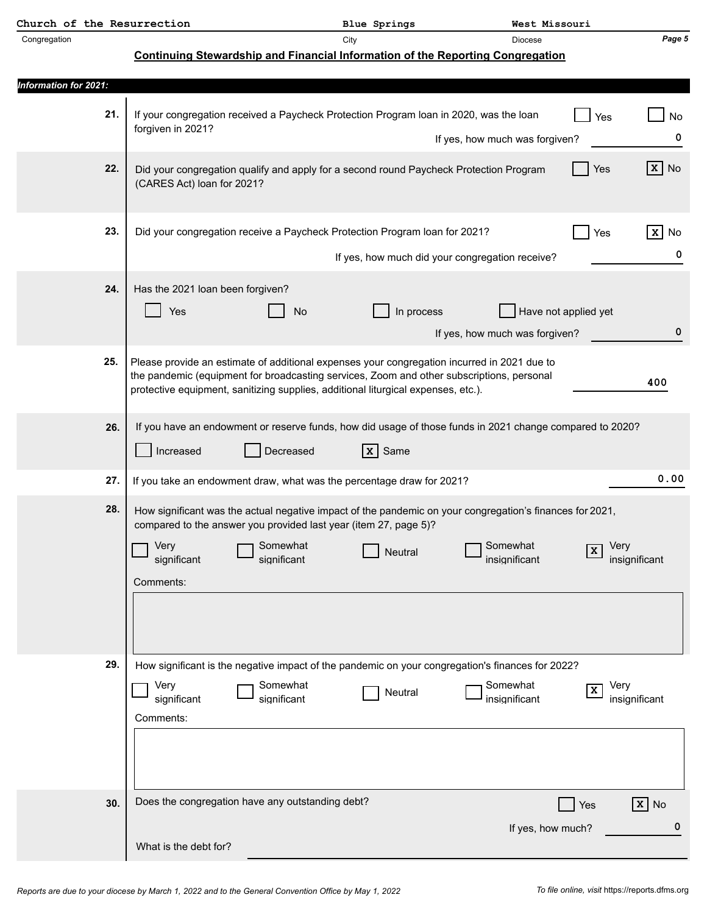| Church of the Resurrection   |                  |                                                                                                                                                                                                                                                                                                                                                                                                                                                                                                                                                                                                                                                                                                                                                                                                                                                                                                                                                                                                                                                                                                                                                                                                                                                                                                                                                                                                                           | <b>Blue Springs</b>  | West Missouri                                   |                      |                         |
|------------------------------|------------------|---------------------------------------------------------------------------------------------------------------------------------------------------------------------------------------------------------------------------------------------------------------------------------------------------------------------------------------------------------------------------------------------------------------------------------------------------------------------------------------------------------------------------------------------------------------------------------------------------------------------------------------------------------------------------------------------------------------------------------------------------------------------------------------------------------------------------------------------------------------------------------------------------------------------------------------------------------------------------------------------------------------------------------------------------------------------------------------------------------------------------------------------------------------------------------------------------------------------------------------------------------------------------------------------------------------------------------------------------------------------------------------------------------------------------|----------------------|-------------------------------------------------|----------------------|-------------------------|
| Congregation                 |                  |                                                                                                                                                                                                                                                                                                                                                                                                                                                                                                                                                                                                                                                                                                                                                                                                                                                                                                                                                                                                                                                                                                                                                                                                                                                                                                                                                                                                                           | City                 | <b>Diocese</b>                                  |                      | Page 5                  |
|                              |                  |                                                                                                                                                                                                                                                                                                                                                                                                                                                                                                                                                                                                                                                                                                                                                                                                                                                                                                                                                                                                                                                                                                                                                                                                                                                                                                                                                                                                                           |                      |                                                 |                      |                         |
| <b>Information for 2021:</b> |                  |                                                                                                                                                                                                                                                                                                                                                                                                                                                                                                                                                                                                                                                                                                                                                                                                                                                                                                                                                                                                                                                                                                                                                                                                                                                                                                                                                                                                                           |                      |                                                 |                      |                         |
|                              | 21.              |                                                                                                                                                                                                                                                                                                                                                                                                                                                                                                                                                                                                                                                                                                                                                                                                                                                                                                                                                                                                                                                                                                                                                                                                                                                                                                                                                                                                                           |                      |                                                 | Yes                  | No                      |
|                              |                  | Continuing Stewardship and Financial Information of the Reporting Congregation<br>If your congregation received a Paycheck Protection Program loan in 2020, was the loan<br>forgiven in 2021?<br>Did your congregation qualify and apply for a second round Paycheck Protection Program<br>(CARES Act) loan for 2021?<br>Did your congregation receive a Paycheck Protection Program loan for 2021?<br>Has the 2021 loan been forgiven?<br>Yes<br>No<br>Please provide an estimate of additional expenses your congregation incurred in 2021 due to<br>the pandemic (equipment for broadcasting services, Zoom and other subscriptions, personal<br>protective equipment, sanitizing supplies, additional liturgical expenses, etc.).<br>If you have an endowment or reserve funds, how did usage of those funds in 2021 change compared to 2020?<br>Increased<br>Decreased<br>If you take an endowment draw, what was the percentage draw for 2021?<br>How significant was the actual negative impact of the pandemic on your congregation's finances for 2021,<br>compared to the answer you provided last year (item 27, page 5)?<br>Very<br>Somewhat<br>significant<br>significant<br>How significant is the negative impact of the pandemic on your congregation's finances for 2022?<br>Very<br>Somewhat<br>significant<br>significant<br>Does the congregation have any outstanding debt?<br>What is the debt for? |                      | If yes, how much was forgiven?                  |                      | 0                       |
|                              | 22.              |                                                                                                                                                                                                                                                                                                                                                                                                                                                                                                                                                                                                                                                                                                                                                                                                                                                                                                                                                                                                                                                                                                                                                                                                                                                                                                                                                                                                                           |                      |                                                 | Yes                  | $\mathbf{x}$<br>No      |
|                              | 23.              |                                                                                                                                                                                                                                                                                                                                                                                                                                                                                                                                                                                                                                                                                                                                                                                                                                                                                                                                                                                                                                                                                                                                                                                                                                                                                                                                                                                                                           |                      |                                                 | Yes                  | $\mathbf{x}$<br>No      |
|                              |                  |                                                                                                                                                                                                                                                                                                                                                                                                                                                                                                                                                                                                                                                                                                                                                                                                                                                                                                                                                                                                                                                                                                                                                                                                                                                                                                                                                                                                                           |                      | If yes, how much did your congregation receive? |                      | 0                       |
|                              | 24.              |                                                                                                                                                                                                                                                                                                                                                                                                                                                                                                                                                                                                                                                                                                                                                                                                                                                                                                                                                                                                                                                                                                                                                                                                                                                                                                                                                                                                                           | In process           | If yes, how much was forgiven?                  | Have not applied yet | 0                       |
|                              | 25.              |                                                                                                                                                                                                                                                                                                                                                                                                                                                                                                                                                                                                                                                                                                                                                                                                                                                                                                                                                                                                                                                                                                                                                                                                                                                                                                                                                                                                                           |                      |                                                 |                      | 400                     |
|                              | 26.              |                                                                                                                                                                                                                                                                                                                                                                                                                                                                                                                                                                                                                                                                                                                                                                                                                                                                                                                                                                                                                                                                                                                                                                                                                                                                                                                                                                                                                           | $\vert x \vert$ Same |                                                 |                      |                         |
|                              | 27.              |                                                                                                                                                                                                                                                                                                                                                                                                                                                                                                                                                                                                                                                                                                                                                                                                                                                                                                                                                                                                                                                                                                                                                                                                                                                                                                                                                                                                                           |                      |                                                 |                      | 0.00                    |
|                              | 28.<br>Comments: |                                                                                                                                                                                                                                                                                                                                                                                                                                                                                                                                                                                                                                                                                                                                                                                                                                                                                                                                                                                                                                                                                                                                                                                                                                                                                                                                                                                                                           | Neutral              | Somewhat<br>insignificant                       | Very<br>x            | insignificant           |
|                              | 29.              |                                                                                                                                                                                                                                                                                                                                                                                                                                                                                                                                                                                                                                                                                                                                                                                                                                                                                                                                                                                                                                                                                                                                                                                                                                                                                                                                                                                                                           |                      |                                                 |                      |                         |
|                              | Comments:        |                                                                                                                                                                                                                                                                                                                                                                                                                                                                                                                                                                                                                                                                                                                                                                                                                                                                                                                                                                                                                                                                                                                                                                                                                                                                                                                                                                                                                           | Neutral              | Somewhat<br>insignificant                       | Very<br>X            | insignificant           |
|                              | 30.              |                                                                                                                                                                                                                                                                                                                                                                                                                                                                                                                                                                                                                                                                                                                                                                                                                                                                                                                                                                                                                                                                                                                                                                                                                                                                                                                                                                                                                           |                      |                                                 | Yes                  | $\boxed{\mathbf{x}}$ No |
|                              |                  |                                                                                                                                                                                                                                                                                                                                                                                                                                                                                                                                                                                                                                                                                                                                                                                                                                                                                                                                                                                                                                                                                                                                                                                                                                                                                                                                                                                                                           |                      | If yes, how much?                               |                      | $\mathbf 0$             |
|                              |                  |                                                                                                                                                                                                                                                                                                                                                                                                                                                                                                                                                                                                                                                                                                                                                                                                                                                                                                                                                                                                                                                                                                                                                                                                                                                                                                                                                                                                                           |                      |                                                 |                      |                         |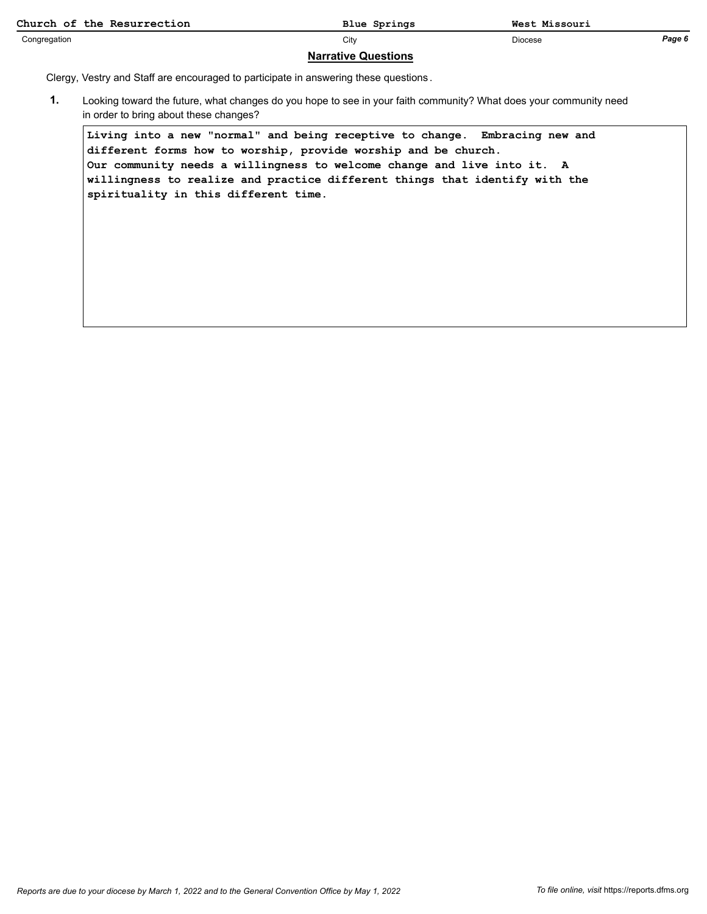|              | Church of the Resurrection                                                                                                                                                                                                                                                                                                                      | <b>Blue Springs</b>        | West Missouri  |        |
|--------------|-------------------------------------------------------------------------------------------------------------------------------------------------------------------------------------------------------------------------------------------------------------------------------------------------------------------------------------------------|----------------------------|----------------|--------|
| Congregation |                                                                                                                                                                                                                                                                                                                                                 | City                       | <b>Diocese</b> | Page 6 |
|              |                                                                                                                                                                                                                                                                                                                                                 | <b>Narrative Questions</b> |                |        |
|              | Clergy, Vestry and Staff are encouraged to participate in answering these guestions.                                                                                                                                                                                                                                                            |                            |                |        |
| 1.           | Looking toward the future, what changes do you hope to see in your faith community? What does your community need<br>in order to bring about these changes?                                                                                                                                                                                     |                            |                |        |
|              | Living into a new "normal" and being receptive to change. Embracing new and<br>different forms how to worship, provide worship and be church.<br>Our community needs a willingness to welcome change and live into it. A<br>willingness to realize and practice different things that identify with the<br>spirituality in this different time. |                            |                |        |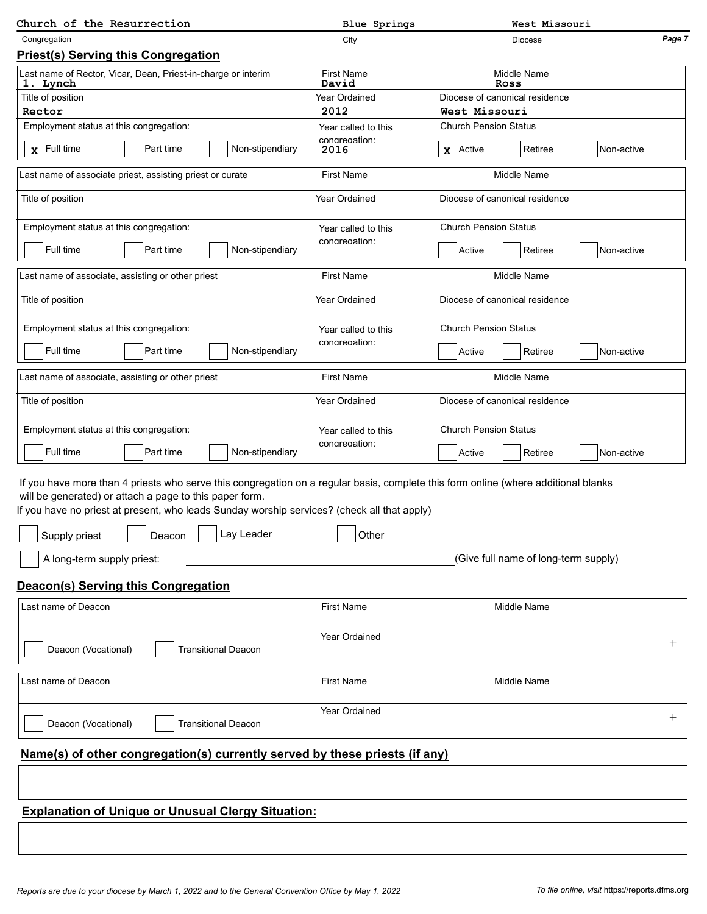| Church of the Resurrection                                                                                                                                                                                                                                                                   | <b>Blue Springs</b>                  | West Missouri                               |        |
|----------------------------------------------------------------------------------------------------------------------------------------------------------------------------------------------------------------------------------------------------------------------------------------------|--------------------------------------|---------------------------------------------|--------|
| Congregation                                                                                                                                                                                                                                                                                 | City                                 | <b>Diocese</b>                              | Page 7 |
| <b>Priest(s) Serving this Congregation</b>                                                                                                                                                                                                                                                   |                                      |                                             |        |
| Last name of Rector, Vicar, Dean, Priest-in-charge or interim<br>1. Lynch                                                                                                                                                                                                                    | <b>First Name</b><br>David           | Middle Name<br>Ross                         |        |
| Title of position                                                                                                                                                                                                                                                                            | Year Ordained                        | Diocese of canonical residence              |        |
| Rector                                                                                                                                                                                                                                                                                       | 2012                                 | West Missouri                               |        |
| Employment status at this congregation:                                                                                                                                                                                                                                                      | Year called to this                  | <b>Church Pension Status</b>                |        |
| $\mathbf{x}$ Full time<br>Part time<br>Non-stipendiary                                                                                                                                                                                                                                       | congregation:<br>2016                | Retiree<br>$\mathbf x$ Active<br>Non-active |        |
| Last name of associate priest, assisting priest or curate                                                                                                                                                                                                                                    | <b>First Name</b>                    | Middle Name                                 |        |
| Title of position                                                                                                                                                                                                                                                                            | Year Ordained                        | Diocese of canonical residence              |        |
| Employment status at this congregation:                                                                                                                                                                                                                                                      | Year called to this                  | <b>Church Pension Status</b>                |        |
| Full time<br>Part time<br>Non-stipendiary                                                                                                                                                                                                                                                    | congregation:                        | Retiree<br>Active<br>Non-active             |        |
| Last name of associate, assisting or other priest                                                                                                                                                                                                                                            | <b>First Name</b>                    | Middle Name                                 |        |
| Title of position                                                                                                                                                                                                                                                                            | Year Ordained                        | Diocese of canonical residence              |        |
| Employment status at this congregation:                                                                                                                                                                                                                                                      | Year called to this<br>congregation: | <b>Church Pension Status</b>                |        |
| Full time<br>Non-stipendiary<br>Part time                                                                                                                                                                                                                                                    |                                      | Retiree<br>Active<br>Non-active             |        |
| Last name of associate, assisting or other priest                                                                                                                                                                                                                                            | <b>First Name</b>                    | Middle Name                                 |        |
| Title of position                                                                                                                                                                                                                                                                            | Year Ordained                        | Diocese of canonical residence              |        |
| Employment status at this congregation:                                                                                                                                                                                                                                                      | Year called to this                  | <b>Church Pension Status</b>                |        |
| Full time<br>Non-stipendiary<br>Part time                                                                                                                                                                                                                                                    | congregation:                        | Active<br>Retiree<br>Non-active             |        |
| If you have more than 4 priests who serve this congregation on a regular basis, complete this form online (where additional blanks<br>will be generated) or attach a page to this paper form.<br>If you have no priest at present, who leads Sunday worship services? (check all that apply) |                                      |                                             |        |
| Deacon Lay Leader<br>Supply priest                                                                                                                                                                                                                                                           | Other                                |                                             |        |
| A long-term supply priest:                                                                                                                                                                                                                                                                   |                                      | (Give full name of long-term supply)        |        |
| Deacon(s) Serving this Congregation                                                                                                                                                                                                                                                          |                                      |                                             |        |
| Last name of Deacon                                                                                                                                                                                                                                                                          | <b>First Name</b>                    | Middle Name                                 |        |
| Deacon (Vocational)<br><b>Transitional Deacon</b>                                                                                                                                                                                                                                            | Year Ordained                        |                                             | $^{+}$ |
| Last name of Deacon                                                                                                                                                                                                                                                                          | <b>First Name</b>                    | Middle Name                                 |        |
| Deacon (Vocational)<br><b>Transitional Deacon</b>                                                                                                                                                                                                                                            | Year Ordained                        |                                             | $^+$   |
| Name(s) of other congregation(s) currently served by these priests (if any)                                                                                                                                                                                                                  |                                      |                                             |        |
|                                                                                                                                                                                                                                                                                              |                                      |                                             |        |
| <b>Explanation of Unique or Unusual Clergy Situation:</b>                                                                                                                                                                                                                                    |                                      |                                             |        |
|                                                                                                                                                                                                                                                                                              |                                      |                                             |        |